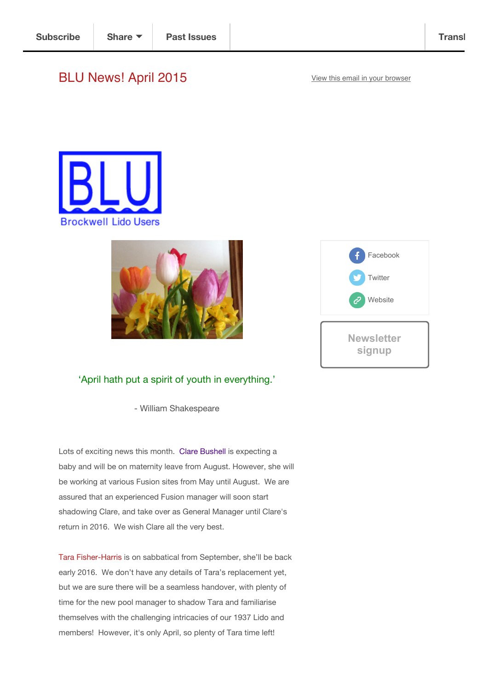## BLU News! April 2015 View this email in your browser







## 'April hath put a spirit of youth in everything.'

- William Shakespeare

Lots of exciting news this month. Clare Bushell is expecting a baby and will be on maternity leave from August. However, she will be working at various Fusion sites from May until August. We are assured that an experienced Fusion manager will soon start shadowing Clare, and take over as General Manager until Clare's return in 2016. We wish Clare all the very best.

Tara Fisher-Harris is on sabbatical from September, she'll be back early 2016. We don't have any details of Tara's replacement yet, but we are sure there will be a seamless handover, with plenty of time for the new pool manager to shadow Tara and familiarise themselves with the challenging intricacies of our 1937 Lido and members! However, it's only April, so plenty of Tara time left!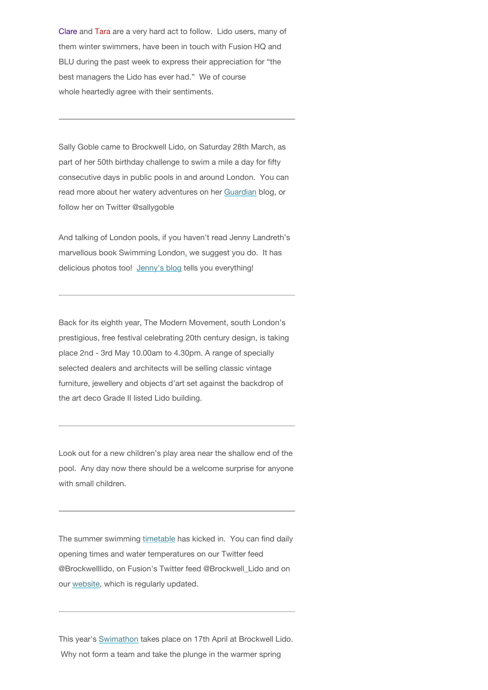Clare and Tara are a very hard act to follow. Lido users, many of them winter swimmers, have been in touch with Fusion HQ and BLU during the past week to express their appreciation for "the best managers the Lido has ever had." We of course whole heartedly agree with their sentiments.

Sally Goble came to Brockwell Lido, on Saturday 28th March, as part of her 50th birthday challenge to swim a mile a day for fifty consecutive days in public pools in and around London. You can read more about her watery adventures on her Guardian blog, or follow her on Twitter @sallygoble

And talking of London pools, if you haven't read Jenny Landreth's marvellous book Swimming London, we suggest you do. It has delicious photos too! Jenny's blog tells you everything!

Back for its eighth year, The Modern Movement, south London's prestigious, free festival celebrating 20th century design, is taking place 2nd - 3rd May 10.00am to 4.30pm. A range of specially selected dealers and architects will be selling classic vintage furniture, jewellery and objects d'art set against the backdrop of the art deco Grade II listed Lido building.

Look out for a new children's play area near the shallow end of the pool. Any day now there should be a welcome surprise for anyone with small children.

The summer swimming timetable has kicked in. You can find daily opening times and water temperatures on our Twitter feed @Brockwelllido, on Fusion's Twitter feed @Brockwell\_Lido and on our website, which is regularly updated.

This year's Swimathon takes place on 17th April at Brockwell Lido. Why not form a team and take the plunge in the warmer spring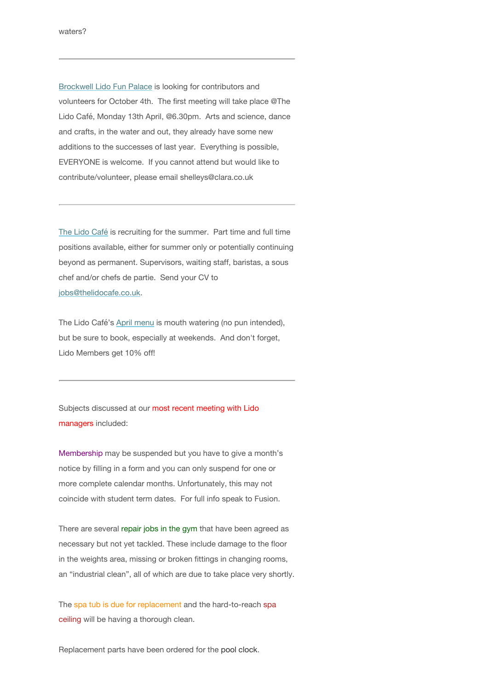Brockwell Lido Fun Palace is looking for contributors and volunteers for October 4th. The first meeting will take place @The Lido Café, Monday 13th April, @6.30pm. Arts and science, dance and crafts, in the water and out, they already have some new additions to the successes of last year. Everything is possible, EVERYONE is welcome. If you cannot attend but would like to contribute/volunteer, please email shelleys@clara.co.uk

The Lido Café is recruiting for the summer. Part time and full time positions available, either for summer only or potentially continuing beyond as permanent. Supervisors, waiting staff, baristas, a sous chef and/or chefs de partie. Send your CV to jobs@thelidocafe.co.uk.

The Lido Café's April menu is mouth watering (no pun intended), but be sure to book, especially at weekends. And don't forget, Lido Members get 10% off!

Subjects discussed at our most recent meeting with Lido managers included:

Membership may be suspended but you have to give a month's notice by filling in a form and you can only suspend for one or more complete calendar months. Unfortunately, this may not coincide with student term dates. For full info speak to Fusion.

There are several repair jobs in the gym that have been agreed as necessary but not yet tackled. These include damage to the floor in the weights area, missing or broken fittings in changing rooms, an "industrial clean", all of which are due to take place very shortly.

The spa tub is due for replacement and the hard-to-reach spa ceiling will be having a thorough clean.

Replacement parts have been ordered for the pool clock.